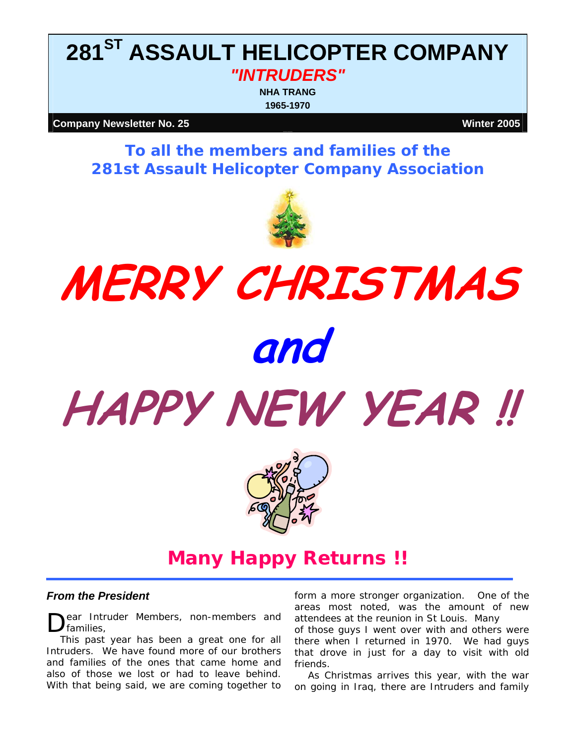# **281ST ASSAULT HELICOPTER COMPANY**  *"INTRUDERS"*

**NHA TRANG 1965-1970**

**Company Newsletter No. 25** Winter 2005

*To all the members and families of the 281st Assault Helicopter Company Association*



# **MERRY CHRISTMAS and HAPPY NEW YEAR !!**



**Many Happy Returns !!** 

#### *From the President*

ear Intruder Members, non-members and Dear Intru

This past year has been a great one for all Intruders. We have found more of our brothers and families of the ones that came home and also of those we lost or had to leave behind. With that being said, we are coming together to

form a more stronger organization. One of the areas most noted, was the amount of new attendees at the reunion in St Louis. Many

of those guys I went over with and others were there when I returned in 1970. We had guys that drove in just for a day to visit with old friends.

As Christmas arrives this year, with the war on going in Iraq, there are Intruders and family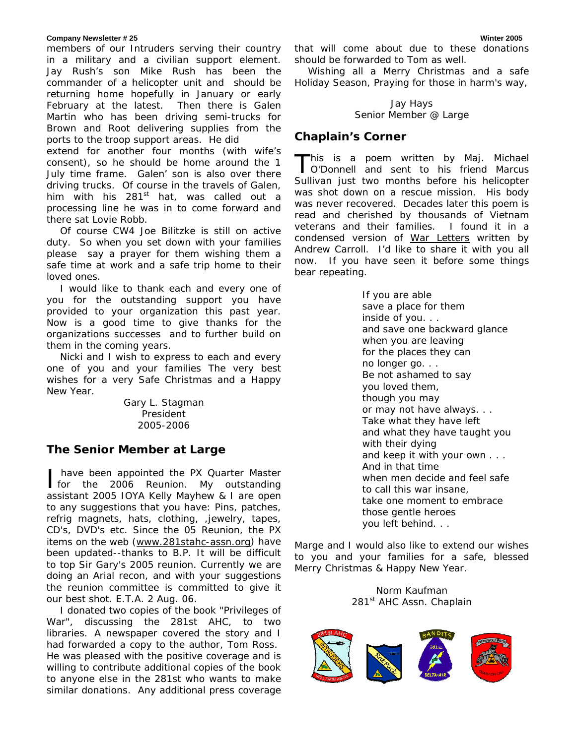#### **Company Newsletter # 25 Winter 2005**

members of our Intruders serving their country in a military and a civilian support element. Jay Rush's son Mike Rush has been the commander of a helicopter unit and should be returning home hopefully in January or early February at the latest. Then there is Galen Martin who has been driving semi-trucks for Brown and Root delivering supplies from the ports to the troop support areas. He did

extend for another four months (with wife's consent), so he should be home around the 1 July time frame. Galen' son is also over there driving trucks. Of course in the travels of Galen, him with his  $281<sup>st</sup>$  hat, was called out a processing line he was in to come forward and there sat Lovie Robb.

Of course CW4 Joe Bilitzke is still on active duty. So when you set down with your families please say a prayer for them wishing them a safe time at work and a safe trip home to their loved ones.

I would like to thank each and every one of you for the outstanding support you have provided to your organization this past year. Now is a good time to give thanks for the organizations successes and to further build on them in the coming years.

Nicki and I wish to express to each and every one of you and your families The very best wishes for a very Safe Christmas and a Happy New Year.

> Gary L. Stagman President 2005-2006

### *The Senior Member at Large*

 have been appointed the PX Quarter Master have been appointed the PX Quarter Master<br>for the 2006 Reunion. My outstanding assistant 2005 IOYA Kelly Mayhew & I are open to any suggestions that you have: Pins, patches, refrig magnets, hats, clothing, ,jewelry, tapes, CD's, DVD's etc. Since the 05 Reunion, the PX items on the web [\(www.281stahc-assn.org\)](http://www.281stahc-assn.org/) have been updated--thanks to B.P. It will be difficult to top Sir Gary's 2005 reunion. Currently we are doing an Arial recon, and with your suggestions the reunion committee is committed to give it our best shot. E.T.A. 2 Aug. 06.

I donated two copies of the book "Privileges of War", discussing the 281st AHC, to two libraries. A newspaper covered the story and I had forwarded a copy to the author, Tom Ross. He was pleased with the positive coverage and is willing to contribute additional copies of the book to anyone else in the 281st who wants to make similar donations. Any additional press coverage that will come about due to these donations should be forwarded to Tom as well.

Wishing all a Merry Christmas and a safe Holiday Season, Praying for those in harm's way,

#### Jay Hays Senior Member @ Large

## *Chaplain's Corner*

This is a poem written by Maj. Michael This is a poem written by Maj. Michael<br>O'Donnell and sent to his friend Marcus Sullivan just two months before his helicopter was shot down on a rescue mission. His body was never recovered. Decades later this poem is read and cherished by thousands of Vietnam veterans and their families. I found it in a condensed version of War Letters written by Andrew Carroll. I'd like to share it with you all now. If you have seen it before some things bear repeating.

> If you are able save a place for them inside of you. . . and save one backward glance when you are leaving for the places they can no longer go. . . Be not ashamed to say you loved them, though you may or may not have always. . . Take what they have left and what they have taught you with their dying and keep it with your own . . . And in that time when men decide and feel safe to call this war insane, take one moment to embrace those gentle heroes you left behind. . .

Marge and I would also like to extend our wishes to you and your families for a safe, blessed Merry Christmas & Happy New Year.

> Norm Kaufman 281<sup>st</sup> AHC Assn. Chaplain

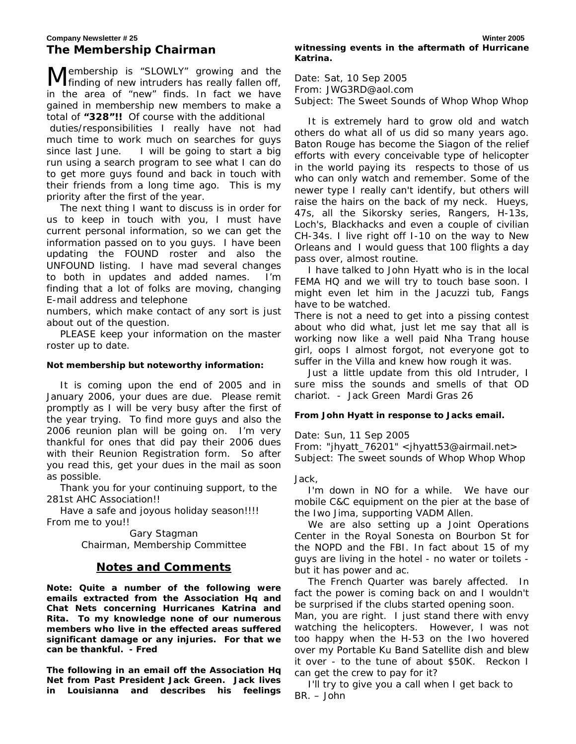embership is "*SLOWLY"* growing and the Membership is "SLOWLY" growing and the finding of new intruders has really fallen off, in the area of "*new"* finds. In fact we have gained in membership new members to make a total of **"328"!!** Of course with the additional duties/responsibilities I really have not had much time to work much on searches for guys since last June. I will be going to start a big run using a search program to see what I can do to get more guys found and back in touch with their friends from a long time ago. This is my priority after the first of the year.

The next thing I want to discuss is in order for us to keep in touch with you, I must have current personal information, so we can get the information passed on to you guys. I have been updating the FOUND roster and also the UNFOUND listing. I have mad several changes to both in updates and added names. I'm finding that a lot of folks are moving, changing E-mail address and telephone

numbers, which make contact of any sort is just about out of the question.

PLEASE keep your information on the master roster up to date.

#### *Not membership but noteworthy information:*

It is coming upon the end of 2005 and in January 2006, your dues are due. Please remit promptly as I will be very busy after the first of the year trying. To find more guys and also the 2006 reunion plan will be going on. I'm very thankful for ones that did pay their 2006 dues with their Reunion Registration form. So after you read this, get your dues in the mail as soon as possible.

Thank you for your continuing support, to the 281st AHC Association!!

Have a safe and joyous holiday season!!!! From me to you!!

> Gary Stagman Chairman, Membership Committee

#### **Notes and Comments**

*Note: Quite a number of the following were emails extracted from the Association Hq and Chat Nets concerning Hurricanes Katrina and Rita. To my knowledge none of our numerous members who live in the effected areas suffered significant damage or any injuries. For that we can be thankful. - Fred* 

*The following in an email off the Association Hq Net from Past President Jack Green. Jack lives in Louisianna and describes his feelings*  Date: Sat, 10 Sep 2005 From: JWG3RD@aol.com Subject: The Sweet Sounds of Whop Whop Whop

It is extremely hard to grow old and watch others do what all of us did so many years ago. Baton Rouge has become the Siagon of the relief efforts with every conceivable type of helicopter in the world paying its respects to those of us who can only watch and remember. Some of the newer type I really can't identify, but others will raise the hairs on the back of my neck. Hueys, 47s, all the Sikorsky series, Rangers, H-13s, Loch's, Blackhacks and even a couple of civilian CH-34s. I live right off I-10 on the way to New Orleans and I would guess that 100 flights a day pass over, almost routine.

I have talked to John Hyatt who is in the local FEMA HQ and we will try to touch base soon. I might even let him in the Jacuzzi tub, Fangs have to be watched.

There is not a need to get into a pissing contest about who did what, just let me say that all is working now like a well paid Nha Trang house girl, oops I almost forgot, not everyone got to suffer in the Villa and knew how rough it was.

Just a little update from this old Intruder, I sure miss the sounds and smells of that OD chariot. - Jack Green Mardi Gras 26

#### *From John Hyatt in response to Jacks email.*

Date: Sun, 11 Sep 2005

From: "jhyatt\_76201" <jhyatt53@airmail.net> Subject: The sweet sounds of Whop Whop Whop

Jack,

I'm down in NO for a while. We have our mobile C&C equipment on the pier at the base of the Iwo Jima, supporting VADM Allen.

We are also setting up a Joint Operations Center in the Royal Sonesta on Bourbon St for the NOPD and the FBI. In fact about 15 of my guys are living in the hotel - no water or toilets but it has power and ac.

The French Quarter was barely affected. In fact the power is coming back on and I wouldn't be surprised if the clubs started opening soon. Man, you are right. I just stand there with envy watching the helicopters. However, I was not too happy when the H-53 on the Iwo hovered over my Portable Ku Band Satellite dish and blew it over - to the tune of about \$50K. Reckon I can get the crew to pay for it?

I'll try to give you a call when I get back to BR. – John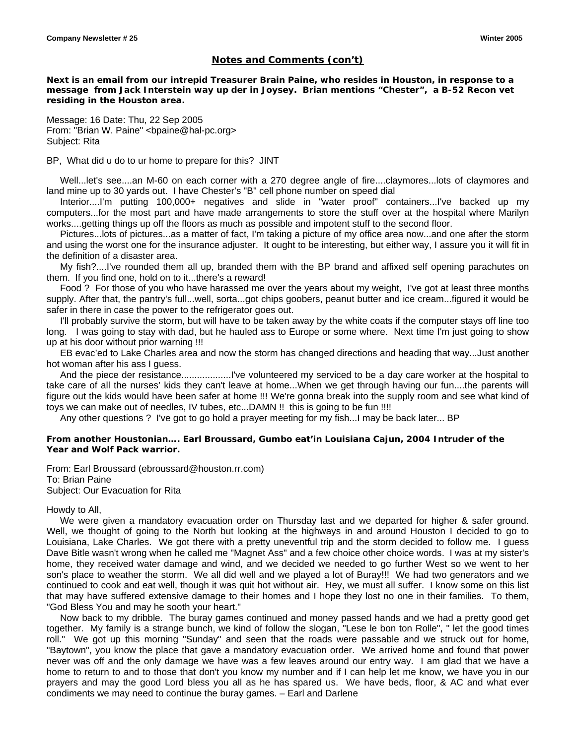#### *Notes and Comments (con't)*

*Next is an email from our intrepid Treasurer Brain Paine, who resides in Houston, in response to a message from Jack Interstein way up der in Joysey. Brian mentions "Chester", a B-52 Recon vet residing in the Houston area.* 

Message: 16 Date: Thu, 22 Sep 2005 From: "Brian W. Paine" <br/>bpaine@hal-pc.org> Subject: Rita

#### BP, What did u do to ur home to prepare for this? JINT

Well...let's see....an M-60 on each corner with a 270 degree angle of fire....claymores...lots of claymores and land mine up to 30 yards out. I have Chester's "B" cell phone number on speed dial

Interior....I'm putting 100,000+ negatives and slide in "water proof" containers...I've backed up my computers...for the most part and have made arrangements to store the stuff over at the hospital where Marilyn works....getting things up off the floors as much as possible and impotent stuff to the second floor.

Pictures...lots of pictures...as a matter of fact, I'm taking a picture of my office area now...and one after the storm and using the worst one for the insurance adjuster. It ought to be interesting, but either way, I assure you it will fit in the definition of a disaster area.

My fish?....I've rounded them all up, branded them with the BP brand and affixed self opening parachutes on them. If you find one, hold on to it...there's a reward!

Food ? For those of you who have harassed me over the years about my weight, I've got at least three months supply. After that, the pantry's full...well, sorta...got chips goobers, peanut butter and ice cream...figured it would be safer in there in case the power to the refrigerator goes out.

I'll probably survive the storm, but will have to be taken away by the white coats if the computer stays off line too long. I was going to stay with dad, but he hauled ass to Europe or some where. Next time I'm just going to show up at his door without prior warning !!!

EB evac'ed to Lake Charles area and now the storm has changed directions and heading that way...Just another hot woman after his ass I quess.

And the piece der resistance...................I've volunteered my serviced to be a day care worker at the hospital to take care of all the nurses' kids they can't leave at home...When we get through having our fun....the parents will figure out the kids would have been safer at home !!! We're gonna break into the supply room and see what kind of toys we can make out of needles, IV tubes, etc...DAMN !! this is going to be fun !!!!

Any other questions ? I've got to go hold a prayer meeting for my fish...I may be back later... BP

#### *From another Houstonian…. Earl Broussard, Gumbo eat'in Louisiana Cajun, 2004 Intruder of the Year and Wolf Pack warrior.*

From: Earl Broussard (ebroussard@houston.rr.com) To: Brian Paine Subject: Our Evacuation for Rita

#### Howdy to All,

 We were given a mandatory evacuation order on Thursday last and we departed for higher & safer ground. Well, we thought of going to the North but looking at the highways in and around Houston I decided to go to Louisiana, Lake Charles. We got there with a pretty uneventful trip and the storm decided to follow me. I guess Dave Bitle wasn't wrong when he called me "Magnet Ass" and a few choice other choice words. I was at my sister's home, they received water damage and wind, and we decided we needed to go further West so we went to her son's place to weather the storm. We all did well and we played a lot of Buray!!! We had two generators and we continued to cook and eat well, though it was quit hot without air. Hey, we must all suffer. I know some on this list that may have suffered extensive damage to their homes and I hope they lost no one in their families. To them, "God Bless You and may he sooth your heart."

 Now back to my dribble. The buray games continued and money passed hands and we had a pretty good get together. My family is a strange bunch, we kind of follow the slogan, "Lese le bon ton Rolle", " let the good times roll." We got up this morning "Sunday" and seen that the roads were passable and we struck out for home, "Baytown", you know the place that gave a mandatory evacuation order. We arrived home and found that power never was off and the only damage we have was a few leaves around our entry way. I am glad that we have a home to return to and to those that don't you know my number and if I can help let me know, we have you in our prayers and may the good Lord bless you all as he has spared us. We have beds, floor, & AC and what ever condiments we may need to continue the buray games. – Earl and Darlene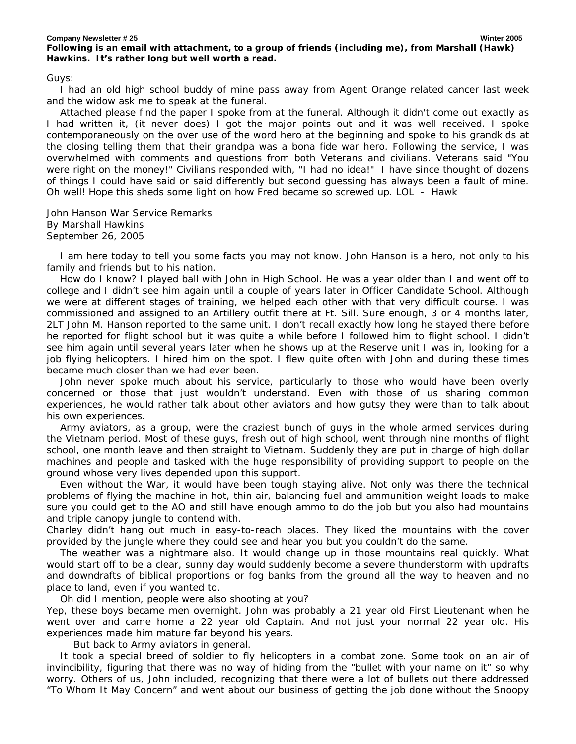#### **Company Newsletter # 25 Winter 2005**  *Following is an email with attachment, to a group of friends (including me), from Marshall (Hawk) Hawkins. It's rather long but well worth a read.*

Guys:

I had an old high school buddy of mine pass away from Agent Orange related cancer last week and the widow ask me to speak at the funeral.

Attached please find the paper I spoke from at the funeral. Although it didn't come out exactly as I had written it, (it never does) I got the major points out and it was well received. I spoke contemporaneously on the over use of the word hero at the beginning and spoke to his grandkids at the closing telling them that their grandpa was a bona fide war hero. Following the service, I was overwhelmed with comments and questions from both Veterans and civilians. Veterans said "You were right on the money!" Civilians responded with, "I had no idea!" I have since thought of dozens of things I could have said or said differently but second guessing has always been a fault of mine. Oh well! Hope this sheds some light on how Fred became so screwed up. LOL - Hawk

John Hanson War Service Remarks By Marshall Hawkins September 26, 2005

I am here today to tell you some facts you may not know. John Hanson is a hero, not only to his family and friends but to his nation.

How do I know? I played ball with John in High School. He was a year older than I and went off to college and I didn't see him again until a couple of years later in Officer Candidate School. Although we were at different stages of training, we helped each other with that very difficult course. I was commissioned and assigned to an Artillery outfit there at Ft. Sill. Sure enough, 3 or 4 months later, 2LT John M. Hanson reported to the same unit. I don't recall exactly how long he stayed there before he reported for flight school but it was quite a while before I followed him to flight school. I didn't see him again until several years later when he shows up at the Reserve unit I was in, looking for a job flying helicopters. I hired him on the spot. I flew quite often with John and during these times became much closer than we had ever been.

John never spoke much about his service, particularly to those who would have been overly concerned or those that just wouldn't understand. Even with those of us sharing common experiences, he would rather talk about other aviators and how gutsy they were than to talk about his own experiences.

Army aviators, as a group, were the craziest bunch of guys in the whole armed services during the Vietnam period. Most of these guys, fresh out of high school, went through nine months of flight school, one month leave and then straight to Vietnam. Suddenly they are put in charge of high dollar machines and people and tasked with the huge responsibility of providing support to people on the ground whose very lives depended upon this support.

Even without the War, it would have been tough staying alive. Not only was there the technical problems of flying the machine in hot, thin air, balancing fuel and ammunition weight loads to make sure you could get to the AO and still have enough ammo to do the job but you also had mountains and triple canopy jungle to contend with.

Charley didn't hang out much in easy-to-reach places. They liked the mountains with the cover provided by the jungle where they could see and hear you but you couldn't do the same.

The weather was a nightmare also. It would change up in those mountains real quickly. What would start off to be a clear, sunny day would suddenly become a severe thunderstorm with updrafts and downdrafts of biblical proportions or fog banks from the ground all the way to heaven and no place to land, even if you wanted to.

Oh did I mention, people were also shooting at you?

Yep, these boys became men overnight. John was probably a 21 year old First Lieutenant when he went over and came home a 22 year old Captain. And not just your normal 22 year old. His experiences made him mature far beyond his years.

But back to Army aviators in general.

It took a special breed of soldier to fly helicopters in a combat zone. Some took on an air of invincibility, figuring that there was no way of hiding from the "bullet with your name on it" so why worry. Others of us, John included, recognizing that there were a lot of bullets out there addressed "To Whom It May Concern" and went about our business of getting the job done without the Snoopy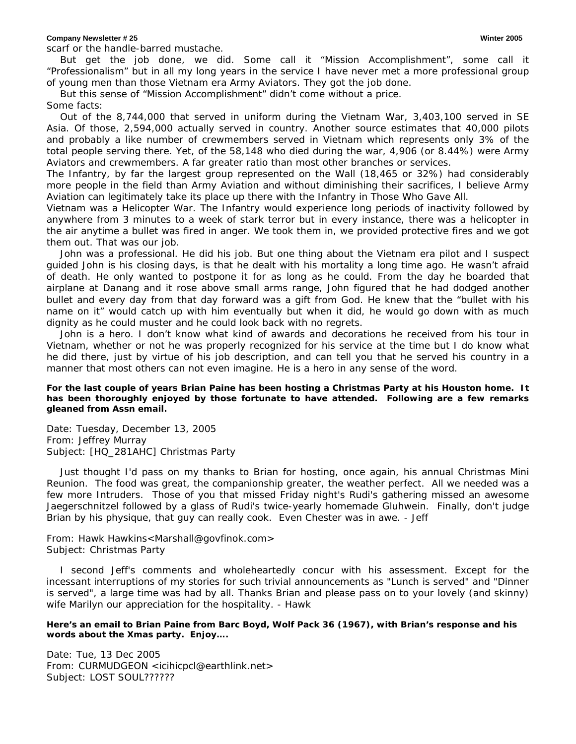#### **Company Newsletter # 25 Winter 2005**

scarf or the handle-barred mustache.

But get the job done, we did. Some call it "Mission Accomplishment", some call it "Professionalism" but in all my long years in the service I have never met a more professional group of young men than those Vietnam era Army Aviators. They got the job done.

But this sense of "Mission Accomplishment" didn't come without a price.

#### Some facts:

Out of the 8,744,000 that served in uniform during the Vietnam War, 3,403,100 served in SE Asia. Of those, 2,594,000 actually served in country. Another source estimates that 40,000 pilots and probably a like number of crewmembers served in Vietnam which represents only 3% of the total people serving there. Yet, of the 58,148 who died during the war, 4,906 (or 8.44%) were Army Aviators and crewmembers. A far greater ratio than most other branches or services.

The Infantry, by far the largest group represented on the Wall (18,465 or 32%) had considerably more people in the field than Army Aviation and without diminishing their sacrifices, I believe Army Aviation can legitimately take its place up there with the Infantry in Those Who Gave All.

Vietnam was a Helicopter War. The Infantry would experience long periods of inactivity followed by anywhere from 3 minutes to a week of stark terror but in every instance, there was a helicopter in the air anytime a bullet was fired in anger. We took them in, we provided protective fires and we got them out. That was our job.

John was a professional. He did his job. But one thing about the Vietnam era pilot and I suspect guided John is his closing days, is that he dealt with his mortality a long time ago. He wasn't afraid of death. He only wanted to postpone it for as long as he could. From the day he boarded that airplane at Danang and it rose above small arms range, John figured that he had dodged another bullet and every day from that day forward was a gift from God. He knew that the "bullet with his name on it" would catch up with him eventually but when it did, he would go down with as much dignity as he could muster and he could look back with no regrets.

John is a hero. I don't know what kind of awards and decorations he received from his tour in Vietnam, whether or not he was properly recognized for his service at the time but I do know what he did there, just by virtue of his job description, and can tell you that he served his country in a manner that most others can not even imagine. He is a hero in any sense of the word.

#### *For the last couple of years Brian Paine has been hosting a Christmas Party at his Houston home. It has been thoroughly enjoyed by those fortunate to have attended. Following are a few remarks gleaned from Assn email.*

Date: Tuesday, December 13, 2005 From: Jeffrey Murray Subject: [HQ\_281AHC] Christmas Party

Just thought I'd pass on my thanks to Brian for hosting, once again, his annual Christmas Mini Reunion. The food was great, the companionship greater, the weather perfect. All we needed was a few more Intruders. Those of you that missed Friday night's Rudi's gathering missed an awesome Jaegerschnitzel followed by a glass of Rudi's twice-yearly homemade Gluhwein. Finally, don't judge Brian by his physique, that guy can really cook. Even Chester was in awe. - Jeff

From: Hawk Hawkins<Marshall@govfinok.com> Subject: Christmas Party

I second Jeff's comments and wholeheartedly concur with his assessment. Except for the incessant interruptions of my stories for such trivial announcements as "Lunch is served" and "Dinner is served", a large time was had by all. Thanks Brian and please pass on to your lovely (and skinny) wife Marilyn our appreciation for the hospitality. - Hawk

#### *Here's an email to Brian Paine from Barc Boyd, Wolf Pack 36 (1967), with Brian's response and his words about the Xmas party. Enjoy….*

Date: Tue, 13 Dec 2005 From: CURMUDGEON <icihicpcl@earthlink.net> Subject: LOST SOUL??????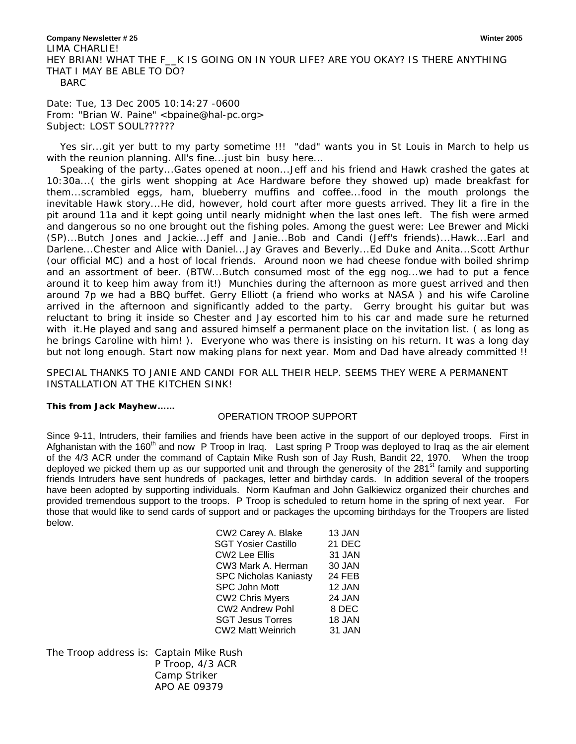**Company Newsletter # 25 Winter 2005**  LIMA CHARLIE! HEY BRIAN! WHAT THE F\_\_K IS GOING ON IN YOUR LIFE? ARE YOU OKAY? IS THERE ANYTHING THAT I MAY BE ABLE TO DO? BARC

Date: Tue, 13 Dec 2005 10:14:27 -0600 From: "Brian W. Paine" <br/>bpaine@hal-pc.org> Subject: LOST SOUL??????

Yes sir...git yer butt to my party sometime !!! "dad" wants you in St Louis in March to help us with the reunion planning. All's fine... just bin busy here...

Speaking of the party...Gates opened at noon...Jeff and his friend and Hawk crashed the gates at 10:30a...( the girls went shopping at Ace Hardware before they showed up) made breakfast for them...scrambled eggs, ham, blueberry muffins and coffee...food in the mouth prolongs the inevitable Hawk story...He did, however, hold court after more guests arrived. They lit a fire in the pit around 11a and it kept going until nearly midnight when the last ones left. The fish were armed and dangerous so no one brought out the fishing poles. Among the guest were: Lee Brewer and Micki (SP)...Butch Jones and Jackie...Jeff and Janie...Bob and Candi (Jeff's friends)...Hawk...Earl and Darlene...Chester and Alice with Daniel...Jay Graves and Beverly...Ed Duke and Anita...Scott Arthur (our official MC) and a host of local friends. Around noon we had cheese fondue with boiled shrimp and an assortment of beer. (BTW...Butch consumed most of the egg nog...we had to put a fence around it to keep him away from it!) Munchies during the afternoon as more guest arrived and then around 7p we had a BBQ buffet. Gerry Elliott (a friend who works at NASA ) and his wife Caroline arrived in the afternoon and significantly added to the party. Gerry brought his guitar but was reluctant to bring it inside so Chester and Jay escorted him to his car and made sure he returned with it.He played and sang and assured himself a permanent place on the invitation list. ( as long as he brings Caroline with him! ). Everyone who was there is insisting on his return. It was a long day but not long enough. Start now making plans for next year. Mom and Dad have already committed !!

SPECIAL THANKS TO JANIE AND CANDI FOR ALL THEIR HELP. SEEMS THEY WERE A PERMANENT INSTALLATION AT THE KITCHEN SINK!

#### *This from Jack Mayhew……*

#### OPERATION TROOP SUPPORT

Since 9-11, Intruders, their families and friends have been active in the support of our deployed troops. First in Afghanistan with the 160 $^{\text{th}}$  and now P Troop in Iraq. Last spring P Troop was deployed to Iraq as the air element of the 4/3 ACR under the command of Captain Mike Rush son of Jay Rush, Bandit 22, 1970. When the troop deployed we picked them up as our supported unit and through the generosity of the 281<sup>st</sup> family and supporting friends Intruders have sent hundreds of packages, letter and birthday cards. In addition several of the troopers have been adopted by supporting individuals. Norm Kaufman and John Galkiewicz organized their churches and provided tremendous support to the troops. P Troop is scheduled to return home in the spring of next year. For those that would like to send cards of support and or packages the upcoming birthdays for the Troopers are listed below.

| CW2 Carey A. Blake           | 13 JAN        |
|------------------------------|---------------|
| <b>SGT Yosier Castillo</b>   | <b>21 DEC</b> |
| <b>CW2 Lee Ellis</b>         | 31 JAN        |
| CW3 Mark A. Herman           | 30 JAN        |
| <b>SPC Nicholas Kaniasty</b> | 24 FEB        |
| <b>SPC John Mott</b>         | 12 JAN        |
| <b>CW2 Chris Myers</b>       | 24 JAN        |
| <b>CW2 Andrew Pohl</b>       | 8 DEC         |
| <b>SGT Jesus Torres</b>      | 18 JAN        |
| <b>CW2 Matt Weinrich</b>     | 31 JAN        |
|                              |               |

The Troop address is: Captain Mike Rush P Troop, 4/3 ACR Camp Striker APO AE 09379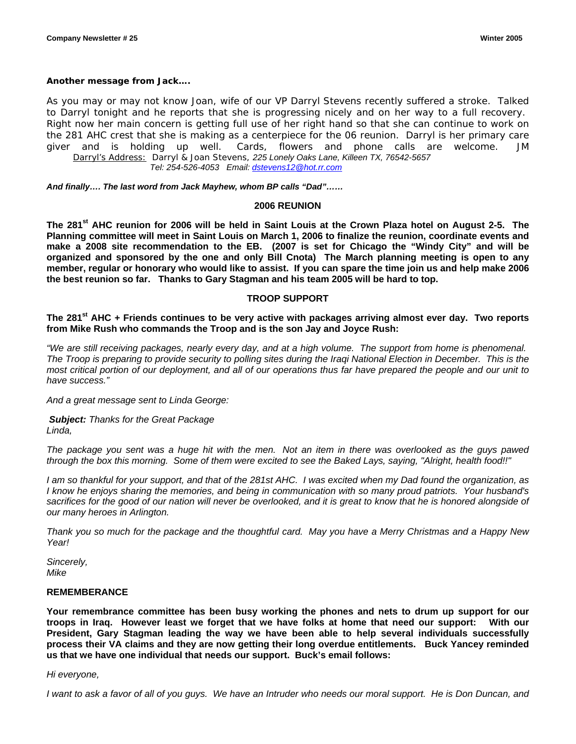#### *Another message from Jack….*

As you may or may not know Joan, wife of our VP Darryl Stevens recently suffered a stroke. Talked to Darryl tonight and he reports that she is progressing nicely and on her way to a full recovery. Right now her main concern is getting full use of her right hand so that she can continue to work on the 281 AHC crest that she is making as a centerpiece for the 06 reunion. Darryl is her primary care giver and is holding up well. Cards, flowers and phone calls are welcome. JM *Darryl's Address: Darryl & Joan Stevens, 225 Lonely Oaks Lane, Killeen TX, 76542-5657 Tel: 254-526-4053 Email: [dstevens12@hot.rr.com](mailto:dstevens12@hot.rr.com)* 

*And finally…. The last word from Jack Mayhew, whom BP calls "Dad"……* 

#### **2006 REUNION**

The 281<sup>st</sup> AHC reunion for 2006 will be held in Saint Louis at the Crown Plaza hotel on August 2-5. The **Planning committee will meet in Saint Louis on March 1, 2006 to finalize the reunion, coordinate events and make a 2008 site recommendation to the EB. (2007 is set for Chicago the "Windy City" and will be organized and sponsored by the one and only Bill Cnota) The March planning meeting is open to any member, regular or honorary who would like to assist. If you can spare the time join us and help make 2006 the best reunion so far. Thanks to Gary Stagman and his team 2005 will be hard to top.** 

#### **TROOP SUPPORT**

The 281<sup>st</sup> AHC + Friends continues to be very active with packages arriving almost ever day. Two reports **from Mike Rush who commands the Troop and is the son Jay and Joyce Rush:** 

*"We are still receiving packages, nearly every day, and at a high volume. The support from home is phenomenal. The Troop is preparing to provide security to polling sites during the Iraqi National Election in December. This is the most critical portion of our deployment, and all of our operations thus far have prepared the people and our unit to have success."* 

*And a great message sent to Linda George:* 

*Subject: Thanks for the Great Package Linda,* 

*The package you sent was a huge hit with the men. Not an item in there was overlooked as the guys pawed through the box this morning. Some of them were excited to see the Baked Lays, saying, "Alright, health food!!"* 

*I am so thankful for your support, and that of the 281st AHC. I was excited when my Dad found the organization, as I know he enjoys sharing the memories, and being in communication with so many proud patriots. Your husband's*  sacrifices for the good of our nation will never be overlooked, and it is great to know that he is honored alongside of *our many heroes in Arlington.* 

*Thank you so much for the package and the thoughtful card. May you have a Merry Christmas and a Happy New Year!* 

*Sincerely, Mike* 

#### **REMEMBERANCE**

**Your remembrance committee has been busy working the phones and nets to drum up support for our troops in Iraq. However least we forget that we have folks at home that need our support: With our President, Gary Stagman leading the way we have been able to help several individuals successfully process their VA claims and they are now getting their long overdue entitlements. Buck Yancey reminded us that we have one individual that needs our support. Buck's email follows:** 

#### *Hi everyone,*

*I* want to ask a favor of all of you guys. We have an Intruder who needs our moral support. He is Don Duncan, and